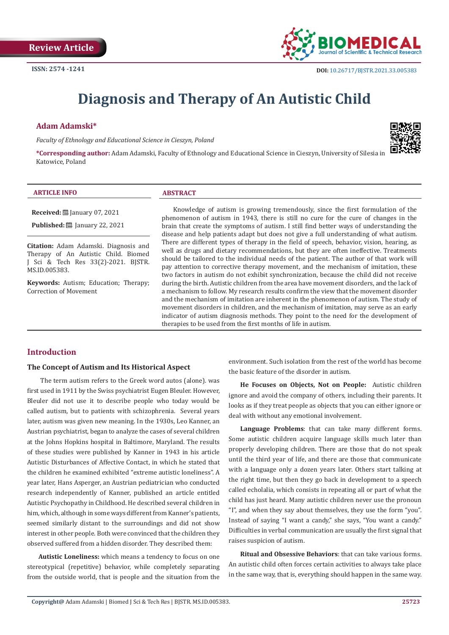

# **Diagnosis and Therapy of An Autistic Child**

### **Adam Adamski\***

*Faculty of Ethnology and Educational Science in Cieszyn, Poland* 



**\*Corresponding author:** Adam Adamski, Faculty of Ethnology and Educational Science in Cieszyn, University of Silesia in Katowice, Poland

#### **ARTICLE INFO ABSTRACT**

**Received:** January 07, 2021

**Published:** ■ January 22, 2021

**Citation:** Adam Adamski. Diagnosis and Therapy of An Autistic Child. Biomed J Sci & Tech Res 33(2)-2021. BJSTR. MS.ID.005383.

**Keywords:** Autism; Education; Therapy; Correction of Movement

Knowledge of autism is growing tremendously, since the first formulation of the phenomenon of autism in 1943, there is still no cure for the cure of changes in the brain that create the symptoms of autism. I still find better ways of understanding the disease and help patients adapt but does not give a full understanding of what autism. There are different types of therapy in the field of speech, behavior, vision, hearing, as well as drugs and dietary recommendations, but they are often ineffective. Treatments should be tailored to the individual needs of the patient. The author of that work will pay attention to corrective therapy movement, and the mechanism of imitation, these two factors in autism do not exhibit synchronization, because the child did not receive during the birth. Autistic children from the area have movement disorders, and the lack of a mechanism to follow. My research results confirm the view that the movement disorder and the mechanism of imitation are inherent in the phenomenon of autism. The study of movement disorders in children, and the mechanism of imitation, may serve as an early indicator of autism diagnosis methods. They point to the need for the development of therapies to be used from the first months of life in autism.

# **Introduction**

#### **The Concept of Autism and Its Historical Aspect**

 The term autism refers to the Greek word autos (alone). was first used in 1911 by the Swiss psychiatrist Eugen Bleuler. However, Bleuler did not use it to describe people who today would be called autism, but to patients with schizophrenia. Several years later, autism was given new meaning. In the 1930s, Leo Kanner, an Austrian psychiatrist, began to analyze the cases of several children at the Johns Hopkins hospital in Baltimore, Maryland. The results of these studies were published by Kanner in 1943 in his article Autistic Disturbances of Affective Contact, in which he stated that the children he examined exhibited "extreme autistic loneliness". A year later, Hans Asperger, an Austrian pediatrician who conducted research independently of Kanner, published an article entitled Autistic Psychopathy in Childhood. He described several children in him, which, although in some ways different from Kanner's patients, seemed similarly distant to the surroundings and did not show interest in other people. Both were convinced that the children they observed suffered from a hidden disorder. They described them:

**Autistic Loneliness:** which means a tendency to focus on one stereotypical (repetitive) behavior, while completely separating from the outside world, that is people and the situation from the environment. Such isolation from the rest of the world has become the basic feature of the disorder in autism.

**He Focuses on Objects, Not on People:** Autistic children ignore and avoid the company of others, including their parents. It looks as if they treat people as objects that you can either ignore or deal with without any emotional involvement.

**Language Problems**: that can take many different forms. Some autistic children acquire language skills much later than properly developing children. There are those that do not speak until the third year of life, and there are those that communicate with a language only a dozen years later. Others start talking at the right time, but then they go back in development to a speech called echolalia, which consists in repeating all or part of what the child has just heard. Many autistic children never use the pronoun "I", and when they say about themselves, they use the form "you". Instead of saying "I want a candy," she says, "You want a candy." Difficulties in verbal communication are usually the first signal that raises suspicion of autism.

**Ritual and Obsessive Behaviors**: that can take various forms. An autistic child often forces certain activities to always take place in the same way, that is, everything should happen in the same way.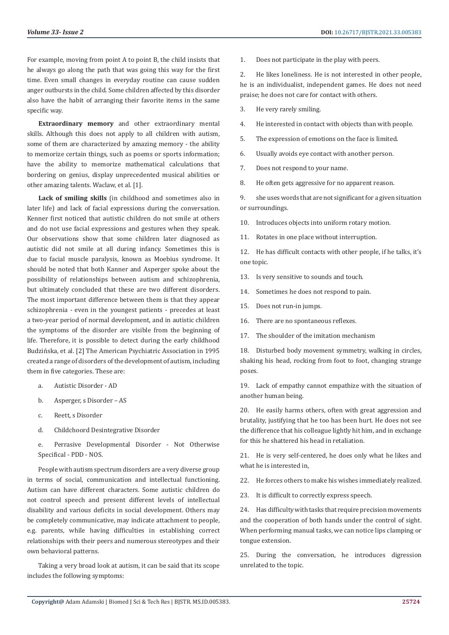For example, moving from point A to point B, the child insists that he always go along the path that was going this way for the first time. Even small changes in everyday routine can cause sudden anger outbursts in the child. Some children affected by this disorder also have the habit of arranging their favorite items in the same specific way.

**Extraordinary memory** and other extraordinary mental skills. Although this does not apply to all children with autism, some of them are characterized by amazing memory - the ability to memorize certain things, such as poems or sports information; have the ability to memorize mathematical calculations that bordering on genius, display unprecedented musical abilities or other amazing talents. Waclaw, et al. [1].

**Lack of smiling skills** (in childhood and sometimes also in later life) and lack of facial expressions during the conversation. Kenner first noticed that autistic children do not smile at others and do not use facial expressions and gestures when they speak. Our observations show that some children later diagnosed as autistic did not smile at all during infancy. Sometimes this is due to facial muscle paralysis, known as Moebius syndrome. It should be noted that both Kanner and Asperger spoke about the possibility of relationships between autism and schizophrenia, but ultimately concluded that these are two different disorders. The most important difference between them is that they appear schizophrenia - even in the youngest patients - precedes at least a two-year period of normal development, and in autistic children the symptoms of the disorder are visible from the beginning of life. Therefore, it is possible to detect during the early childhood Budzińska, et al. [2] The American Psychiatric Association in 1995 created a range of disorders of the development of autism, including them in five categories. These are:

- a. Autistic Disorder AD
- b. Asperger, s Disorder AS
- c. Reett, s Disorder
- d. Childchoord Desintegrative Disorder
- e. Perrasive Developmental Disorder Not Otherwise Specifical - PDD - NOS.

People with autism spectrum disorders are a very diverse group in terms of social, communication and intellectual functioning. Autism can have different characters. Some autistic children do not control speech and present different levels of intellectual disability and various deficits in social development. Others may be completely communicative, may indicate attachment to people, e.g. parents, while having difficulties in establishing correct relationships with their peers and numerous stereotypes and their own behavioral patterns.

Taking a very broad look at autism, it can be said that its scope includes the following symptoms:

1. Does not participate in the play with peers.

2. He likes loneliness. He is not interested in other people, he is an individualist, independent games. He does not need praise; he does not care for contact with others.

- 3. He very rarely smiling.
- 4. He interested in contact with objects than with people.
- 5. The expression of emotions on the face is limited.
- 6. Usually avoids eye contact with another person.
- 7. Does not respond to your name.
- 8. He often gets aggressive for no apparent reason.

9. she uses words that are not significant for a given situation or surroundings.

- 10. Introduces objects into uniform rotary motion.
- 11. Rotates in one place without interruption.

12. He has difficult contacts with other people, if he talks, it's one topic.

- 13. Is very sensitive to sounds and touch.
- 14. Sometimes he does not respond to pain.
- 15. Does not run-in jumps.
- 16. There are no spontaneous reflexes.
- 17. The shoulder of the imitation mechanism

18. Disturbed body movement symmetry, walking in circles, shaking his head, rocking from foot to foot, changing strange poses.

19. Lack of empathy cannot empathize with the situation of another human being.

20. He easily harms others, often with great aggression and brutality, justifying that he too has been hurt. He does not see the difference that his colleague lightly hit him, and in exchange for this he shattered his head in retaliation.

21. He is very self-centered, he does only what he likes and what he is interested in,

22. He forces others to make his wishes immediately realized.

23. It is difficult to correctly express speech.

24. Has difficulty with tasks that require precision movements and the cooperation of both hands under the control of sight. When performing manual tasks, we can notice lips clamping or tongue extension.

25. During the conversation, he introduces digression unrelated to the topic.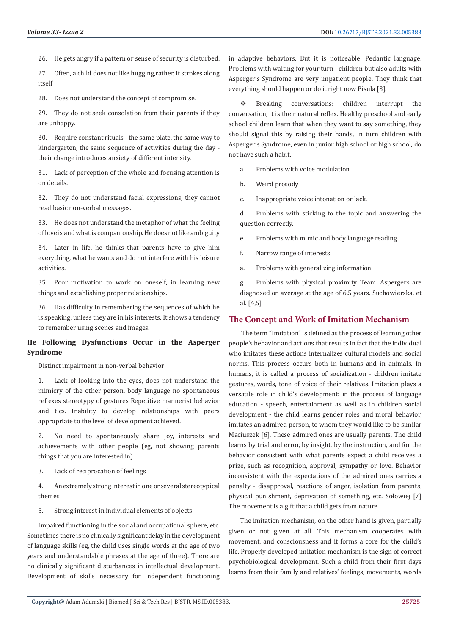26. He gets angry if a pattern or sense of security is disturbed.

27. Often, a child does not like hugging,rather, it strokes along itself

28. Does not understand the concept of compromise.

29. They do not seek consolation from their parents if they are unhappy.

30. Require constant rituals - the same plate, the same way to kindergarten, the same sequence of activities during the day their change introduces anxiety of different intensity.

31. Lack of perception of the whole and focusing attention is on details.

32. They do not understand facial expressions, they cannot read basic non-verbal messages.

33. He does not understand the metaphor of what the feeling of love is and what is companionship. He does not like ambiguity

34. Later in life, he thinks that parents have to give him everything, what he wants and do not interfere with his leisure activities.

35. Poor motivation to work on oneself, in learning new things and establishing proper relationships.

36. Has difficulty in remembering the sequences of which he is speaking, unless they are in his interests. It shows a tendency to remember using scenes and images.

# **He Following Dysfunctions Occur in the Asperger Syndrome**

Distinct impairment in non-verbal behavior:

1. Lack of looking into the eyes, does not understand the mimicry of the other person, body language no spontaneous reflexes stereotypy of gestures Repetitive mannerist behavior and tics. Inability to develop relationships with peers appropriate to the level of development achieved.

2. No need to spontaneously share joy, interests and achievements with other people (eg, not showing parents things that you are interested in)

3. Lack of reciprocation of feelings

4. An extremely strong interest in one or several stereotypical themes

5. Strong interest in individual elements of objects

Impaired functioning in the social and occupational sphere, etc. Sometimes there is no clinically significant delay in the development of language skills (eg, the child uses single words at the age of two years and understandable phrases at the age of three). There are no clinically significant disturbances in intellectual development. Development of skills necessary for independent functioning

in adaptive behaviors. But it is noticeable: Pedantic language. Problems with waiting for your turn - children but also adults with Asperger's Syndrome are very impatient people. They think that everything should happen or do it right now Pisula [3].

 Breaking conversations: children interrupt the conversation, it is their natural reflex. Healthy preschool and early school children learn that when they want to say something, they should signal this by raising their hands, in turn children with Asperger's Syndrome, even in junior high school or high school, do not have such a habit.

a. Problems with voice modulation

b. Weird prosody

c. Inappropriate voice intonation or lack.

d. Problems with sticking to the topic and answering the question correctly.

e. Problems with mimic and body language reading

- f. Narrow range of interests
- a. Problems with generalizing information

g. Problems with physical proximity. Team. Aspergers are diagnosed on average at the age of 6.5 years. Suchowierska, et al. [4,5]

### **The Concept and Work of Imitation Mechanism**

 The term "Imitation" is defined as the process of learning other people's behavior and actions that results in fact that the individual who imitates these actions internalizes cultural models and social norms. This process occurs both in humans and in animals. In humans, it is called a process of socialization - children imitate gestures, words, tone of voice of their relatives. Imitation plays a versatile role in child's development: in the process of language education - speech, entertainment as well as in children social development - the child learns gender roles and moral behavior, imitates an admired person, to whom they would like to be similar Maciuszek [6]. These admired ones are usually parents. The child learns by trial and error, by insight, by the instruction, and for the behavior consistent with what parents expect a child receives a prize, such as recognition, approval, sympathy or love. Behavior inconsistent with the expectations of the admired ones carries a penalty - disapproval, reactions of anger, isolation from parents, physical punishment, deprivation of something, etc. Sołowiej [7] The movement is a gift that a child gets from nature.

The imitation mechanism, on the other hand is given, partially given or not given at all. This mechanism cooperates with movement, and consciousness and it forms a core for the child's life. Properly developed imitation mechanism is the sign of correct psychobiological development. Such a child from their first days learns from their family and relatives' feelings, movements, words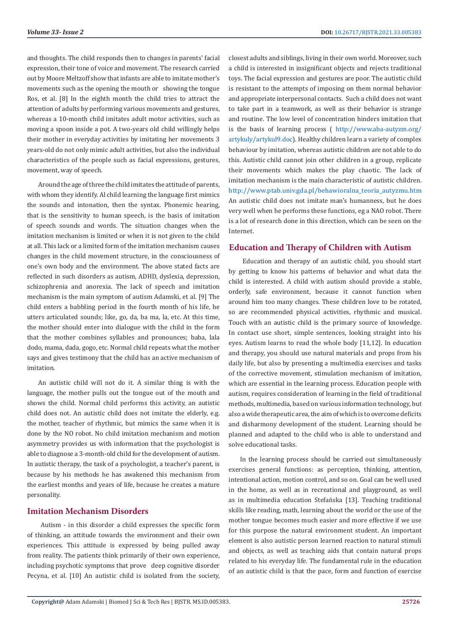and thoughts. The child responds then to changes in parents' facial expression, their tone of voice and movement. The research carried out by Moore Meltzoff show that infants are able to imitate mother's movements such as the opening the mouth or showing the tongue Ros, et al. [8] In the eighth month the child tries to attract the attention of adults by performing various movements and gestures, whereas a 10-month child imitates adult motor activities, such as moving a spoon inside a pot. A two-years old child willingly helps their mother in everyday activities by imitating her movements 3 years-old do not only mimic adult activities, but also the individual characteristics of the people such as facial expressions, gestures, movement, way of speech.

Around the age of three the child imitates the attitude of parents, with whom they identify. Al child learning the language first mimics the sounds and intonation, then the syntax. Phonemic hearing, that is the sensitivity to human speech, is the basis of imitation of speech sounds and words. The situation changes when the imitation mechanism is limited or when it is not given to the child at all. This lack or a limited form of the imitation mechanism causes changes in the child movement structure, in the consciousness of one's own body and the environment. The above stated facts are reflected in such disorders as autism, ADHD, dyslexia, depression, schizophrenia and anorexia. The lack of speech and imitation mechanism is the main symptom of autism Adamski, et al. [9] The child enters a babbling period in the fourth month of his life, he utters articulated sounds; like, go, da, ba ma, la, etc. At this time, the mother should enter into dialogue with the child in the form that the mother combines syllables and pronounces; baba, lala dodo, mama, dada, gogo, etc. Normal child repeats what the mother says and gives testimony that the child has an active mechanism of imitation.

An autistic child will not do it. A similar thing is with the language, the mother pulls out the tongue out of the mouth and shows the child. Normal child performs this activity, an autistic child does not. An autistic child does not imitate the elderly, e.g. the mother, teacher of rhythmic, but mimics the same when it is done by the NO robot. No child imitation mechanism and motion asymmetry provides us with information that the psychologist is able to diagnose a 3-month-old child for the development of autism. In autistic therapy, the task of a psychologist, a teacher's parent, is because by his methods he has awakened this mechanism from the earliest months and years of life, because he creates a mature personality.

# **Imitation Mechanism Disorders**

 Autism - in this disorder a child expresses the specific form of thinking, an attitude towards the environment and their own experiences. This attitude is expressed by being pulled away from reality. The patients think primarily of their own experience, including psychotic symptoms that prove deep cognitive disorder Pecyna, et al. [10] An autistic child is isolated from the society,

closest adults and siblings, living in their own world. Moreover, such a child is interested in insignificant objects and rejects traditional toys. The facial expression and gestures are poor. The autistic child is resistant to the attempts of imposing on them normal behavior and appropriate interpersonal contacts. Such a child does not want to take part in a teamwork, as well as their behavior is strange and routine. The low level of concentration hinders imitation that is the basis of learning process ( [http://www.aba-autyzm.org/](http://www.aba-autyzm.org/artykuly/artykul9.doc) [artykuly/artykul9.doc](http://www.aba-autyzm.org/artykuly/artykul9.doc)). Healthy children learn a variety of complex behaviour by imitation, whereas autistic children are not able to do this. Autistic child cannot join other children in a group, replicate their movements which makes the play chaotic. The lack of imitation mechanism is the main characteristic of autistic children. [http://www.ptab.univ.gda.pl/behawioralna\\_teoria\\_autyzmu.htm](http://www.ptab.univ.gda.pl/behawioralna_teoria_autyzmu.htm) An autistic child does not imitate man's humanness, but he does very well when he performs these functions, eg a NAO robot. There is a lot of research done in this direction, which can be seen on the Internet.

### **Education and Therapy of Children with Autism**

 Education and therapy of an autistic child, you should start by getting to know his patterns of behavior and what data the child is interested. A child with autism should provide a stable, orderly, safe environment, because it cannot function when around him too many changes. These children love to be rotated, so are recommended physical activities, rhythmic and musical. Touch with an autistic child is the primary source of knowledge. In contact use short, simple sentences, looking straight into his eyes. Autism learns to read the whole body [11,12]. In education and therapy, you should use natural materials and props from his daily life, but also by presenting a multimedia exercises and tasks of the corrective movement, stimulation mechanism of imitation, which are essential in the learning process. Education people with autism, requires consideration of learning in the field of traditional methods, multimedia, based on various information technology, but also a wide therapeutic area, the aim of which is to overcome deficits and disharmony development of the student. Learning should be planned and adapted to the child who is able to understand and solve educational tasks.

In the learning process should be carried out simultaneously exercises general functions: as perception, thinking, attention, intentional action, motion control, and so on. Goal can be well used in the home, as well as in recreational and playground, as well as in multimedia education Stefańska [13]. Teaching traditional skills like reading, math, learning about the world or the use of the mother tongue becomes much easier and more effective if we use for this purpose the natural environment student. An important element is also autistic person learned reaction to natural stimuli and objects, as well as teaching aids that contain natural props related to his everyday life. The fundamental rule in the education of an autistic child is that the pace, form and function of exercise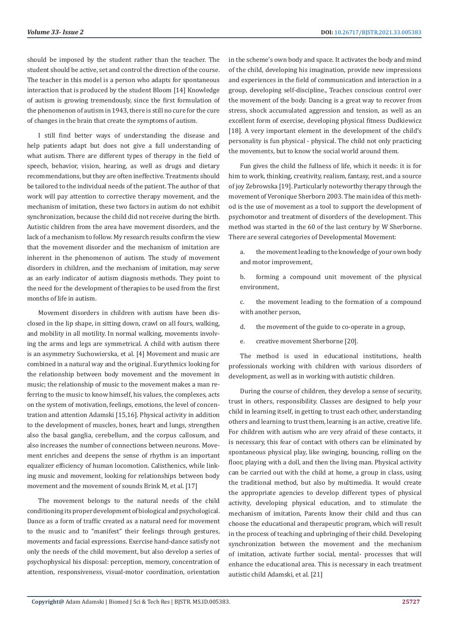should be imposed by the student rather than the teacher. The student should be active, set and control the direction of the course. The teacher in this model is a person who adapts for spontaneous interaction that is produced by the student Bloom [14] Knowledge of autism is growing tremendously, since the first formulation of the phenomenon of autism in 1943, there is still no cure for the cure of changes in the brain that create the symptoms of autism.

I still find better ways of understanding the disease and help patients adapt but does not give a full understanding of what autism. There are different types of therapy in the field of speech, behavior, vision, hearing, as well as drugs and dietary recommendations, but they are often ineffective. Treatments should be tailored to the individual needs of the patient. The author of that work will pay attention to corrective therapy movement, and the mechanism of imitation, these two factors in autism do not exhibit synchronization, because the child did not receive during the birth. Autistic children from the area have movement disorders, and the lack of a mechanism to follow. My research results confirm the view that the movement disorder and the mechanism of imitation are inherent in the phenomenon of autism. The study of movement disorders in children, and the mechanism of imitation, may serve as an early indicator of autism diagnosis methods. They point to the need for the development of therapies to be used from the first months of life in autism.

Movement disorders in children with autism have been disclosed in the lip shape, in sitting down, crawl on all fours, walking, and mobility in all motility. In normal walking, movements involving the arms and legs are symmetrical. A child with autism there is an asymmetry Suchowierska, et al. [4] Movement and music are combined in a natural way and the original. Eurythmics looking for the relationship between body movement and the movement in music; the relationship of music to the movement makes a man referring to the music to know himself, his values, the complexes, acts on the system of motivation, feelings, emotions, the level of concentration and attention Adamski [15,16]. Physical activity in addition to the development of muscles, bones, heart and lungs, strengthen also the basal ganglia, cerebellum, and the corpus callosum, and also increases the number of connections between neurons. Movement enriches and deepens the sense of rhythm is an important equalizer efficiency of human locomotion. Calisthenics, while linking music and movement, looking for relationships between body movement and the movement of sounds Brink M, et al. [17]

The movement belongs to the natural needs of the child conditioning its proper development of biological and psychological. Dance as a form of traffic created as a natural need for movement to the music and to "manifest" their feelings through gestures, movements and facial expressions. Exercise hand-dance satisfy not only the needs of the child movement, but also develop a series of psychophysical his disposal: perception, memory, concentration of attention, responsiveness, visual-motor coordination, orientation

in the scheme's own body and space. It activates the body and mind of the child, developing his imagination, provide new impressions and experiences in the field of communication and interaction in a group, developing self-discipline., Teaches conscious control over the movement of the body. Dancing is a great way to recover from stress, shock accumulated aggression and tension, as well as an excellent form of exercise, developing physical fitness Dudkiewicz [18]. A very important element in the development of the child's personality is fun physical - physical. The child not only practicing the movements, but to know the social world around them.

Fun gives the child the fullness of life, which it needs: it is for him to work, thinking, creativity, realism, fantasy, rest, and a source of joy Zebrowska [19]. Particularly noteworthy therapy through the movement of Veronique Sherborn 2003. The main idea of this method is the use of movement as a tool to support the development of psychomotor and treatment of disorders of the development. This method was started in the 60 of the last century by W Sherborne. There are several categories of Developmental Movement:

- a. the movement leading to the knowledge of your own body and motor improvement,
- b. forming a compound unit movement of the physical environment,
- c. the movement leading to the formation of a compound with another person,
- d. the movement of the guide to co-operate in a group,
- e. creative movement Sherborne [20].

The method is used in educational institutions, health professionals working with children with various disorders of development, as well as in working with autistic children.

During the course of children, they develop a sense of security, trust in others, responsibility. Classes are designed to help your child in learning itself, in getting to trust each other, understanding others and learning to trust them, learning is an active, creative life. For children with autism who are very afraid of these contacts, it is necessary, this fear of contact with others can be eliminated by spontaneous physical play, like swinging, bouncing, rolling on the floor, playing with a doll, and then the living man. Physical activity can be carried out with the child at home, a group in class, using the traditional method, but also by multimedia. It would create the appropriate agencies to develop different types of physical activity, developing physical education, and to stimulate the mechanism of imitation, Parents know their child and thus can choose the educational and therapeutic program, which will result in the process of teaching and upbringing of their child. Developing synchronization between the movement and the mechanism of imitation, activate further social, mental- processes that will enhance the educational area. This is necessary in each treatment autistic child Adamski, et al. [21]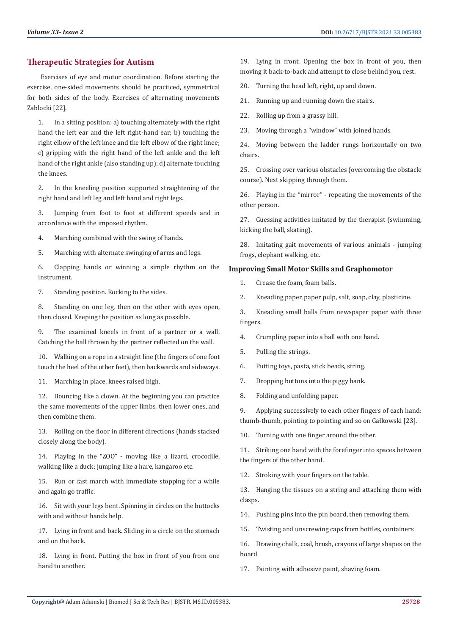## **Therapeutic Strategies for Autism**

 Exercises of eye and motor coordination. Before starting the exercise, one-sided movements should be practiced, symmetrical for both sides of the body. Exercises of alternating movements Zablocki [22].

1. In a sitting position: a) touching alternately with the right hand the left ear and the left right-hand ear; b) touching the right elbow of the left knee and the left elbow of the right knee; c) gripping with the right hand of the left ankle and the left hand of the right ankle (also standing up); d) alternate touching the knees.

2. In the kneeling position supported straightening of the right hand and left leg and left hand and right legs.

3. Jumping from foot to foot at different speeds and in accordance with the imposed rhythm.

4. Marching combined with the swing of hands.

5. Marching with alternate swinging of arms and legs.

6. Clapping hands or winning a simple rhythm on the instrument.

7. Standing position. Rocking to the sides.

8. Standing on one leg, then on the other with eyes open, then closed. Keeping the position as long as possible.

9. The examined kneels in front of a partner or a wall. Catching the ball thrown by the partner reflected on the wall.

10. Walking on a rope in a straight line (the fingers of one foot touch the heel of the other feet), then backwards and sideways.

11. Marching in place, knees raised high.

12. Bouncing like a clown. At the beginning you can practice the same movements of the upper limbs, then lower ones, and then combine them.

13. Rolling on the floor in different directions (hands stacked closely along the body).

14. Playing in the "ZOO" - moving like a lizard, crocodile, walking like a duck; jumping like a hare, kangaroo etc.

15. Run or fast march with immediate stopping for a while and again go traffic.

16. Sit with your legs bent. Spinning in circles on the buttocks with and without hands help.

17. Lying in front and back. Sliding in a circle on the stomach and on the back.

18. Lying in front. Putting the box in front of you from one hand to another.

19. Lying in front. Opening the box in front of you, then moving it back-to-back and attempt to close behind you, rest.

20. Turning the head left, right, up and down.

21. Running up and running down the stairs.

22. Rolling up from a grassy hill.

23. Moving through a "window" with joined hands.

24. Moving between the ladder rungs horizontally on two chairs.

25. Crossing over various obstacles (overcoming the obstacle course). Next skipping through them.

26. Playing in the "mirror" - repeating the movements of the other person.

27. Guessing activities imitated by the therapist (swimming, kicking the ball, skating).

28. Imitating gait movements of various animals - jumping frogs, elephant walking, etc.

### **Improving Small Motor Skills and Graphomotor**

- 1. Crease the foam, foam balls.
- 2. Kneading paper, paper pulp, salt, soap, clay, plasticine.

3. Kneading small balls from newspaper paper with three fingers.

- 4. Crumpling paper into a ball with one hand.
- 5. Pulling the strings.
- 6. Putting toys, pasta, stick beads, string.
- 7. Dropping buttons into the piggy bank.
- 8. Folding and unfolding paper.

9. Applying successively to each other fingers of each hand: thumb-thumb, pointing to pointing and so on Gałkowski [23].

10. Turning with one finger around the other.

11. Striking one hand with the forefinger into spaces between the fingers of the other hand.

12. Stroking with your fingers on the table.

13. Hanging the tissues on a string and attaching them with clasps.

14. Pushing pins into the pin board, then removing them.

15. Twisting and unscrewing caps from bottles, containers

16. Drawing chalk, coal, brush, crayons of large shapes on the board

17. Painting with adhesive paint, shaving foam.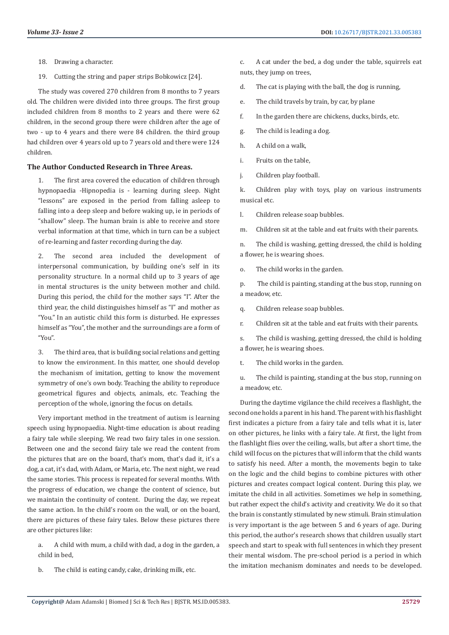- 18. Drawing a character.
- 19. Cutting the string and paper strips Bobkowicz [24].

The study was covered 270 children from 8 months to 7 years old. The children were divided into three groups. The first group included children from 8 months to 2 years and there were 62 children, in the second group there were children after the age of two - up to 4 years and there were 84 children. the third group had children over 4 years old up to 7 years old and there were 124 children.

#### **The Author Conducted Research in Three Areas.**

The first area covered the education of children through hypnopaedia -Hipnopedia is - learning during sleep. Night "lessons" are exposed in the period from falling asleep to falling into a deep sleep and before waking up, ie in periods of "shallow" sleep. The human brain is able to receive and store verbal information at that time, which in turn can be a subject of re-learning and faster recording during the day.

2. The second area included the development of interpersonal communication, by building one's self in its personality structure. In a normal child up to 3 years of age in mental structures is the unity between mother and child. During this period, the child for the mother says "I". After the third year, the child distinguishes himself as "I" and mother as "You." In an autistic child this form is disturbed. He expresses himself as "You", the mother and the surroundings are a form of "You".

3. The third area, that is building social relations and getting to know the environment. In this matter, one should develop the mechanism of imitation, getting to know the movement symmetry of one's own body. Teaching the ability to reproduce geometrical figures and objects, animals, etc. Teaching the perception of the whole, ignoring the focus on details.

Very important method in the treatment of autism is learning speech using hypnopaedia. Night-time education is about reading a fairy tale while sleeping. We read two fairy tales in one session. Between one and the second fairy tale we read the content from the pictures that are on the board, that's mom, that's dad it, it's a dog, a cat, it's dad, with Adam, or Maria, etc. The next night, we read the same stories. This process is repeated for several months. With the progress of education, we change the content of science, but we maintain the continuity of content. During the day, we repeat the same action. In the child's room on the wall, or on the board, there are pictures of these fairy tales. Below these pictures there are other pictures like:

- a. A child with mum, a child with dad, a dog in the garden, a child in bed,
- b. The child is eating candy, cake, drinking milk, etc.

c. A cat under the bed, a dog under the table, squirrels eat nuts, they jump on trees,

- d. The cat is playing with the ball, the dog is running,
- e. The child travels by train, by car, by plane
- f. In the garden there are chickens, ducks, birds, etc.
- g. The child is leading a dog.
- h. A child on a walk,
- i. Fruits on the table,
- j. Children play football.

k. Children play with toys, play on various instruments musical etc.

l. Children release soap bubbles.

m. Children sit at the table and eat fruits with their parents.

n. The child is washing, getting dressed, the child is holding a flower, he is wearing shoes.

o. The child works in the garden.

p. The child is painting, standing at the bus stop, running on a meadow, etc.

q. Children release soap bubbles.

r. Children sit at the table and eat fruits with their parents.

s. The child is washing, getting dressed, the child is holding a flower, he is wearing shoes.

t. The child works in the garden.

u. The child is painting, standing at the bus stop, running on a meadow, etc.

During the daytime vigilance the child receives a flashlight, the second one holds a parent in his hand. The parent with his flashlight first indicates a picture from a fairy tale and tells what it is, later on other pictures, he links with a fairy tale. At first, the light from the flashlight flies over the ceiling, walls, but after a short time, the child will focus on the pictures that will inform that the child wants to satisfy his need. After a month, the movements begin to take on the logic and the child begins to combine pictures with other pictures and creates compact logical content. During this play, we imitate the child in all activities. Sometimes we help in something, but rather expect the child's activity and creativity. We do it so that the brain is constantly stimulated by new stimuli. Brain stimulation is very important is the age between 5 and 6 years of age. During this period, the author's research shows that children usually start speech and start to speak with full sentences in which they present their mental wisdom. The pre-school period is a period in which the imitation mechanism dominates and needs to be developed.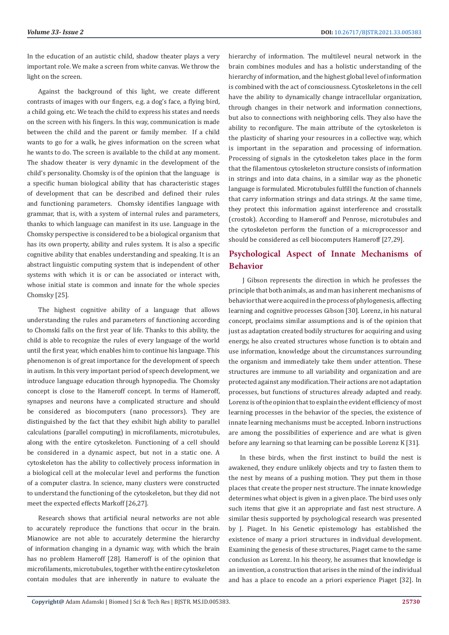In the education of an autistic child, shadow theater plays a very important role. We make a screen from white canvas. We throw the light on the screen.

Against the background of this light, we create different contrasts of images with our fingers, e.g. a dog's face, a flying bird, a child going, etc. We teach the child to express his states and needs on the screen with his fingers. In this way, communication is made between the child and the parent or family member. If a child wants to go for a walk, he gives information on the screen what he wants to do. The screen is available to the child at any moment. The shadow theater is very dynamic in the development of the child's personality. Chomsky is of the opinion that the language is a specific human biological ability that has characteristic stages of development that can be described and defined their rules and functioning parameters. Chomsky identifies language with grammar, that is, with a system of internal rules and parameters, thanks to which language can manifest in its use. Language in the Chomsky perspective is considered to be a biological organism that has its own property, ability and rules system. It is also a specific cognitive ability that enables understanding and speaking. It is an abstract linguistic computing system that is independent of other systems with which it is or can be associated or interact with, whose initial state is common and innate for the whole species Chomsky [25].

The highest cognitive ability of a language that allows understanding the rules and parameters of functioning according to Chomski falls on the first year of life. Thanks to this ability, the child is able to recognize the rules of every language of the world until the first year, which enables him to continue his language. This phenomenon is of great importance for the development of speech in autism. In this very important period of speech development, we introduce language education through hypnopedia. The Chomsky concept is close to the Hameroff concept. In terms of Hameroff, synapses and neurons have a complicated structure and should be considered as biocomputers (nano processors). They are distinguished by the fact that they exhibit high ability to parallel calculations (parallel computing) in microfilaments, microtubules, along with the entire cytoskeleton. Functioning of a cell should be considered in a dynamic aspect, but not in a static one. A cytoskeleton has the ability to collectively process information in a biological cell at the molecular level and performs the function of a computer clastra. In science, many clusters were constructed to understand the functioning of the cytoskeleton, but they did not meet the expected effects Markoff [26,27].

Research shows that artificial neural networks are not able to accurately reproduce the functions that occur in the brain. Mianowice are not able to accurately determine the hierarchy of information changing in a dynamic way, with which the brain has no problem Hameroff [28]. Hameroff is of the opinion that microfilaments, microtubules, together with the entire cytoskeleton contain modules that are inherently in nature to evaluate the hierarchy of information. The multilevel neural network in the brain combines modules and has a holistic understanding of the hierarchy of information, and the highest global level of information is combined with the act of consciousness. Cytoskeletons in the cell have the ability to dynamically change intracellular organization, through changes in their network and information connections, but also to connections with neighboring cells. They also have the ability to reconfigure. The main attribute of the cytoskeleton is the plasticity of sharing your resources in a collective way, which is important in the separation and processing of information. Processing of signals in the cytoskeleton takes place in the form that the filamentous cytoskeleton structure consists of information in strings and into data chains, in a similar way as the phonetic language is formulated. Microtubules fulfill the function of channels that carry information strings and data strings. At the same time, they protect this information against interference and crosstalk (crostok). According to Hameroff and Penrose, microtubules and the cytoskeleton perform the function of a microprocessor and should be considered as cell biocomputers Hameroff [27,29].

# **Psychological Aspect of Innate Mechanisms of Behavior**

 J Gibson represents the direction in which he professes the principle that both animals, as and man has inherent mechanisms of behavior that were acquired in the process of phylogenesis, affecting learning and cognitive processes Gibson [30]. Lorenz, in his natural concept, proclaims similar assumptions and is of the opinion that just as adaptation created bodily structures for acquiring and using energy, he also created structures whose function is to obtain and use information, knowledge about the circumstances surrounding the organism and immediately take them under attention. These structures are immune to all variability and organization and are protected against any modification. Their actions are not adaptation processes, but functions of structures already adapted and ready. Lorenz is of the opinion that to explain the evident efficiency of most learning processes in the behavior of the species, the existence of innate learning mechanisms must be accepted. Inborn instructions are among the possibilities of experience and are what is given before any learning so that learning can be possible Lorenz K [31].

In these birds, when the first instinct to build the nest is awakened, they endure unlikely objects and try to fasten them to the nest by means of a pushing motion. They put them in those places that create the proper nest structure. The innate knowledge determines what object is given in a given place. The bird uses only such items that give it an appropriate and fast nest structure. A similar thesis supported by psychological research was presented by J. Piaget. In his Genetic epistemology has established the existence of many a priori structures in individual development. Examining the genesis of these structures, Piaget came to the same conclusion as Lorenz. In his theory, he assumes that knowledge is an invention, a construction that arises in the mind of the individual and has a place to encode an a priori experience Piaget [32]. In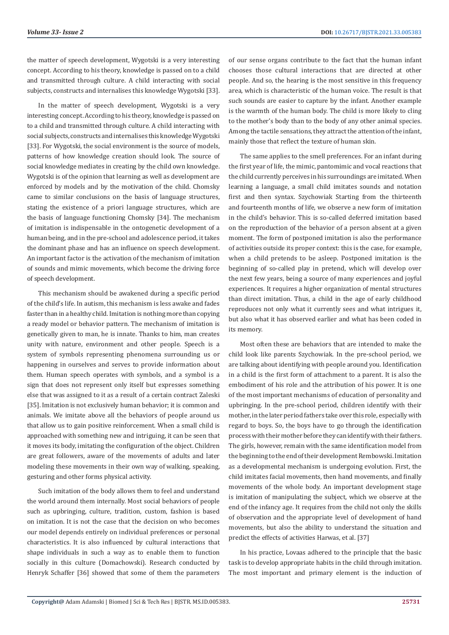the matter of speech development, Wygotski is a very interesting concept. According to his theory, knowledge is passed on to a child and transmitted through culture. A child interacting with social subjects, constructs and internalises this knowledge Wygotski [33].

In the matter of speech development, Wygotski is a very interesting concept. According to his theory, knowledge is passed on to a child and transmitted through culture. A child interacting with social subjects, constructs and internalises this knowledge Wygotski [33]. For Wygotski, the social environment is the source of models, patterns of how knowledge creation should look. The source of social knowledge mediates in creating by the child own knowledge. Wygotski is of the opinion that learning as well as development are enforced by models and by the motivation of the child. Chomsky came to similar conclusions on the basis of language structures, stating the existence of a priori language structures, which are the basis of language functioning Chomsky [34]. The mechanism of imitation is indispensable in the ontogenetic development of a human being, and in the pre-school and adolescence period, it takes the dominant phase and has an influence on speech development. An important factor is the activation of the mechanism of imitation of sounds and mimic movements, which become the driving force of speech development.

This mechanism should be awakened during a specific period of the child's life. In autism, this mechanism is less awake and fades faster than in a healthy child. Imitation is nothing more than copying a ready model or behavior pattern. The mechanism of imitation is genetically given to man, he is innate. Thanks to him, man creates unity with nature, environment and other people. Speech is a system of symbols representing phenomena surrounding us or happening in ourselves and serves to provide information about them. Human speech operates with symbols, and a symbol is a sign that does not represent only itself but expresses something else that was assigned to it as a result of a certain contract Zaleski [35]. Imitation is not exclusively human behavior; it is common and animals. We imitate above all the behaviors of people around us that allow us to gain positive reinforcement. When a small child is approached with something new and intriguing, it can be seen that it moves its body, imitating the configuration of the object. Children are great followers, aware of the movements of adults and later modeling these movements in their own way of walking, speaking, gesturing and other forms physical activity.

Such imitation of the body allows them to feel and understand the world around them internally. Most social behaviors of people such as upbringing, culture, tradition, custom, fashion is based on imitation. It is not the case that the decision on who becomes our model depends entirely on individual preferences or personal characteristics. It is also influenced by cultural interactions that shape individuals in such a way as to enable them to function socially in this culture (Domachowski). Research conducted by Henryk Schaffer [36] showed that some of them the parameters

of our sense organs contribute to the fact that the human infant chooses those cultural interactions that are directed at other people. And so, the hearing is the most sensitive in this frequency area, which is characteristic of the human voice. The result is that such sounds are easier to capture by the infant. Another example is the warmth of the human body. The child is more likely to cling to the mother's body than to the body of any other animal species. Among the tactile sensations, they attract the attention of the infant, mainly those that reflect the texture of human skin.

The same applies to the smell preferences. For an infant during the first year of life, the mimic, pantomimic and vocal reactions that the child currently perceives in his surroundings are imitated. When learning a language, a small child imitates sounds and notation first and then syntax. Szychowiak Starting from the thirteenth and fourteenth months of life, we observe a new form of imitation in the child's behavior. This is so-called deferred imitation based on the reproduction of the behavior of a person absent at a given moment. The form of postponed imitation is also the performance of activities outside its proper context: this is the case, for example, when a child pretends to be asleep. Postponed imitation is the beginning of so-called play in pretend, which will develop over the next few years, being a source of many experiences and joyful experiences. It requires a higher organization of mental structures than direct imitation. Thus, a child in the age of early childhood reproduces not only what it currently sees and what intrigues it, but also what it has observed earlier and what has been coded in its memory.

Most often these are behaviors that are intended to make the child look like parents Szychowiak. In the pre-school period, we are talking about identifying with people around you. Identification in a child is the first form of attachment to a parent. It is also the embodiment of his role and the attribution of his power. It is one of the most important mechanisms of education of personality and upbringing. In the pre-school period, children identify with their mother, in the later period fathers take over this role, especially with regard to boys. So, the boys have to go through the identification process with their mother before they can identify with their fathers. The girls, however, remain with the same identification model from the beginning to the end of their development Rembowski. Imitation as a developmental mechanism is undergoing evolution. First, the child imitates facial movements, then hand movements, and finally movements of the whole body. An important development stage is imitation of manipulating the subject, which we observe at the end of the infancy age. It requires from the child not only the skills of observation and the appropriate level of development of hand movements, but also the ability to understand the situation and predict the effects of activities Harwas, et al. [37]

In his practice, Lovaas adhered to the principle that the basic task is to develop appropriate habits in the child through imitation. The most important and primary element is the induction of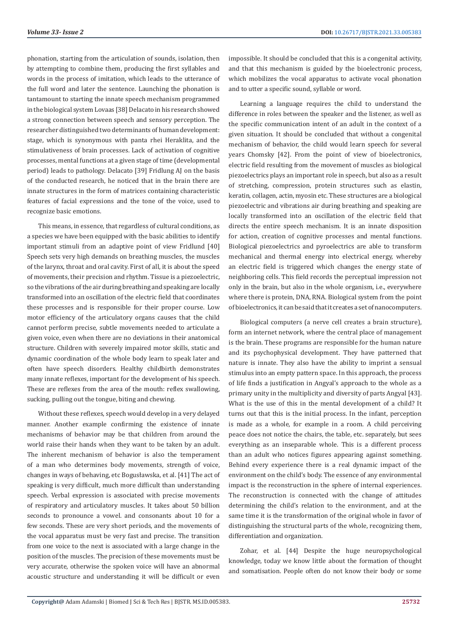phonation, starting from the articulation of sounds, isolation, then by attempting to combine them, producing the first syllables and words in the process of imitation, which leads to the utterance of the full word and later the sentence. Launching the phonation is tantamount to starting the innate speech mechanism programmed in the biological system Lovaas [38] Delacato in his research showed a strong connection between speech and sensory perception. The researcher distinguished two determinants of human development: stage, which is synonymous with panta rhei Heraklita, and the stimulativeness of brain processes. Lack of activation of cognitive processes, mental functions at a given stage of time (developmental period) leads to pathology. Delacato [39] Fridlung AJ on the basis of the conducted research, he noticed that in the brain there are innate structures in the form of matrices containing characteristic features of facial expressions and the tone of the voice, used to recognize basic emotions.

This means, in essence, that regardless of cultural conditions, as a species we have been equipped with the basic abilities to identify important stimuli from an adaptive point of view Fridlund [40] Speech sets very high demands on breathing muscles, the muscles of the larynx, throat and oral cavity. First of all, it is about the speed of movements, their precision and rhythm. Tissue is a piezoelectric, so the vibrations of the air during breathing and speaking are locally transformed into an oscillation of the electric field that coordinates these processes and is responsible for their proper course. Low motor efficiency of the articulatory organs causes that the child cannot perform precise, subtle movements needed to articulate a given voice, even when there are no deviations in their anatomical structure. Children with severely impaired motor skills, static and dynamic coordination of the whole body learn to speak later and often have speech disorders. Healthy childbirth demonstrates many innate reflexes, important for the development of his speech. These are reflexes from the area of the mouth: reflex swallowing, sucking, pulling out the tongue, biting and chewing.

Without these reflexes, speech would develop in a very delayed manner. Another example confirming the existence of innate mechanisms of behavior may be that children from around the world raise their hands when they want to be taken by an adult. The inherent mechanism of behavior is also the temperament of a man who determines body movements, strength of voice, changes in ways of behaving, etc Bogusławska, et al. [41] The act of speaking is very difficult, much more difficult than understanding speech. Verbal expression is associated with precise movements of respiratory and articulatory muscles. It takes about 50 billion seconds to pronounce a vowel. and consonants about 10 for a few seconds. These are very short periods, and the movements of the vocal apparatus must be very fast and precise. The transition from one voice to the next is associated with a large change in the position of the muscles. The precision of these movements must be very accurate, otherwise the spoken voice will have an abnormal acoustic structure and understanding it will be difficult or even impossible. It should be concluded that this is a congenital activity, and that this mechanism is guided by the bioelectronic process, which mobilizes the vocal apparatus to activate vocal phonation and to utter a specific sound, syllable or word.

Learning a language requires the child to understand the difference in roles between the speaker and the listener, as well as the specific communication intent of an adult in the context of a given situation. It should be concluded that without a congenital mechanism of behavior, the child would learn speech for several years Chomsky [42]. From the point of view of bioelectronics, electric field resulting from the movement of muscles as biological piezoelectrics plays an important role in speech, but also as a result of stretching, compression, protein structures such as elastin, keratin, collagen, actin, myosin etc. These structures are a biological piezoelectric and vibrations air during breathing and speaking are locally transformed into an oscillation of the electric field that directs the entire speech mechanism. It is an innate disposition for action, creation of cognitive processes and mental functions. Biological piezoelectrics and pyroelectrics are able to transform mechanical and thermal energy into electrical energy, whereby an electric field is triggered which changes the energy state of neighboring cells. This field records the perceptual impression not only in the brain, but also in the whole organism, i.e., everywhere where there is protein, DNA, RNA. Biological system from the point of bioelectronics, it can be said that it creates a set of nanocomputers.

Biological computers (a nerve cell creates a brain structure), form an internet network, where the central place of management is the brain. These programs are responsible for the human nature and its psychophysical development. They have patterned that nature is innate. They also have the ability to imprint a sensual stimulus into an empty pattern space. In this approach, the process of life finds a justification in Angyal's approach to the whole as a primary unity in the multiplicity and diversity of parts Angyal [43]. What is the use of this in the mental development of a child? It turns out that this is the initial process. In the infant, perception is made as a whole, for example in a room. A child perceiving peace does not notice the chairs, the table, etc. separately, but sees everything as an inseparable whole. This is a different process than an adult who notices figures appearing against something. Behind every experience there is a real dynamic impact of the environment on the child's body. The essence of any environmental impact is the reconstruction in the sphere of internal experiences. The reconstruction is connected with the change of attitudes determining the child's relation to the environment, and at the same time it is the transformation of the original whole in favor of distinguishing the structural parts of the whole, recognizing them, differentiation and organization.

Zohar, et al. [44] Despite the huge neuropsychological knowledge, today we know little about the formation of thought and somatisation. People often do not know their body or some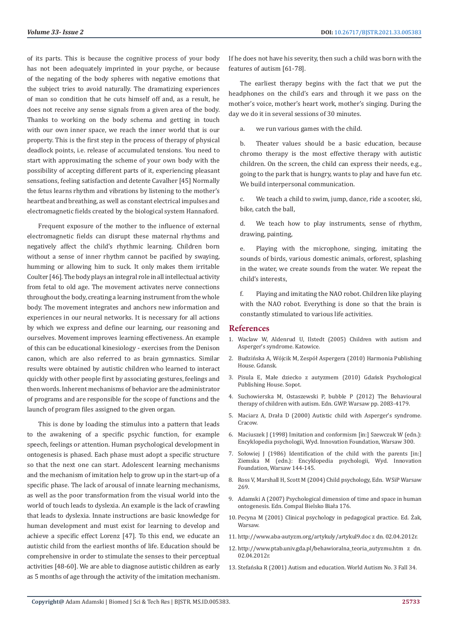of its parts. This is because the cognitive process of your body has not been adequately imprinted in your psyche, or because of the negating of the body spheres with negative emotions that the subject tries to avoid naturally. The dramatizing experiences of man so condition that he cuts himself off and, as a result, he does not receive any sense signals from a given area of the body. Thanks to working on the body schema and getting in touch with our own inner space, we reach the inner world that is our property. This is the first step in the process of therapy of physical deadlock points, i.e. release of accumulated tensions. You need to start with approximating the scheme of your own body with the possibility of accepting different parts of it, experiencing pleasant sensations, feeling satisfaction and detente Cavalher [45] Normally the fetus learns rhythm and vibrations by listening to the mother's heartbeat and breathing, as well as constant electrical impulses and electromagnetic fields created by the biological system Hannaford.

Frequent exposure of the mother to the influence of external electromagnetic fields can disrupt these maternal rhythms and negatively affect the child's rhythmic learning. Children born without a sense of inner rhythm cannot be pacified by swaying, humming or allowing him to suck. It only makes them irritable Coulter [46]. The body plays an integral role in all intellectual activity from fetal to old age. The movement activates nerve connections throughout the body, creating a learning instrument from the whole body. The movement integrates and anchors new information and experiences in our neural networks. It is necessary for all actions by which we express and define our learning, our reasoning and ourselves. Movement improves learning effectiveness. An example of this can be educational kinesiology - exercises from the Denison canon, which are also referred to as brain gymnastics. Similar results were obtained by autistic children who learned to interact quickly with other people first by associating gestures, feelings and then words. Inherent mechanisms of behavior are the administrator of programs and are responsible for the scope of functions and the launch of program files assigned to the given organ.

This is done by loading the stimulus into a pattern that leads to the awakening of a specific psychic function, for example speech, feelings or attention. Human psychological development in ontogenesis is phased. Each phase must adopt a specific structure so that the next one can start. Adolescent learning mechanisms and the mechanism of imitation help to grow up in the start-up of a specific phase. The lack of arousal of innate learning mechanisms, as well as the poor transformation from the visual world into the world of touch leads to dyslexia. An example is the lack of crawling that leads to dyslexia. Innate instructions are basic knowledge for human development and must exist for learning to develop and achieve a specific effect Lorenz [47]. To this end, we educate an autistic child from the earliest months of life. Education should be comprehensive in order to stimulate the senses to their perceptual activities [48-60]. We are able to diagnose autistic children as early as 5 months of age through the activity of the imitation mechanism. If he does not have his severity, then such a child was born with the features of autism [61-78].

The earliest therapy begins with the fact that we put the headphones on the child's ears and through it we pass on the mother's voice, mother's heart work, mother's singing. During the day we do it in several sessions of 30 minutes.

we run various games with the child.

b. Theater values should be a basic education, because chromo therapy is the most effective therapy with autistic children. On the screen, the child can express their needs, e.g., going to the park that is hungry, wants to play and have fun etc. We build interpersonal communication.

c. We teach a child to swim, jump, dance, ride a scooter, ski, bike, catch the ball,

d. We teach how to play instruments, sense of rhythm, drawing, painting,

e. Playing with the microphone, singing, imitating the sounds of birds, various domestic animals, orforest, splashing in the water, we create sounds from the water. We repeat the child's interests,

f. Playing and imitating the NAO robot. Children like playing with the NAO robot. Everything is done so that the brain is constantly stimulated to various life activities.

### **References**

- 1. [Waclaw W, Aldenrud U, Ilstedt \(2005\) Children with autism and](https://biblioteka.womczest.edu.pl/new/wp-content/uploads/2015/03/dziecko-z-autyzmem.pdf) [Asperger's syndrome. Katowice.](https://biblioteka.womczest.edu.pl/new/wp-content/uploads/2015/03/dziecko-z-autyzmem.pdf)
- 2. Budzińska A, Wójcik M, Zespół Aspergera (2010) Harmonia Publishing House. Gdansk.
- 3. Pisula E, Małe dziecko z autyzmem (2010) Gdańsk Psychological Publishing House. Sopot.
- 4. Suchowierska M, Ostaszewski P, bubble P (2012) The Behavioural therapy of children with autism. Edn. GWP. Warsaw pp. 2083-4179.
- 5. Maciarz A, Drała D (2000) Autistic child with Asperger's syndrome. Cracow.
- 6. Maciuszek J (1998) Imitation and conformism [in:] Szewczuk W (edn.): Encyklopedia psychologii, Wyd. Innovation Foundation, Warsaw 300.
- 7. Sołowiej J (1986) Identification of the child with the parents [in:] Ziemska M (edn.): Encyklopedia psychologii, Wyd. Innovation Foundation, Warsaw 144-145.
- 8. Ross V, Marshall H, Scott M (2004) Child psychology, Edn. WSiP Warsaw 269.
- 9. Adamski A (2007) Psychological dimension of time and space in human ontogenesis. Edn. Compal Bielsko Biała 176.
- 10. Pecyna M (2001) Clinical psychology in pedagogical practice. Ed. Żak, Warsaw.
- 11. [http://www.aba-autyzm.org/artykuly/artykul9.doc z dn. 02.04.2012r.](http://www.aba-autyzm.org/artykuly/artykul9.doc%20z%20dn.%2002.04.2012r.)
- 12. [http://www.ptab.univ.gda.pl/behawioralna\\_teoria\\_autyzmu.htm z dn.](http://www.ptab.univ.gda.pl/behawioralna_teoria_autyzmu.htm%20z%20dn.%2002.04.2012r.) [02.04.2012r.](http://www.ptab.univ.gda.pl/behawioralna_teoria_autyzmu.htm%20z%20dn.%2002.04.2012r.)
- 13. Stefańska R (2001) Autism and education. World Autism No. 3 Fall 34.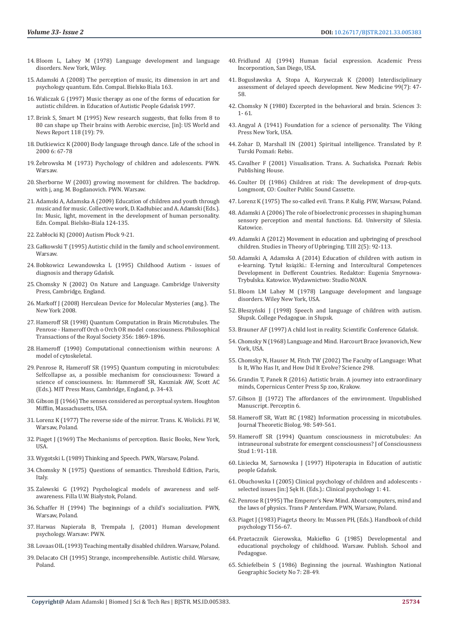- 14. [Bloom L, Lahey M \(1978\) Language development and language](https://academiccommons.columbia.edu/doi/10.7916/D8QZ2GQ5)  [disorders. New York, Wiley.](https://academiccommons.columbia.edu/doi/10.7916/D8QZ2GQ5)
- 15. Adamski A (2008) The perception of music, its dimension in art and psychology quantum. Edn. Compal. Bielsko Biala 163.
- 16. Waliczak G (1997) Music therapy as one of the forms of education for autistic children. in Education of Autistic People Gdańsk 1997.
- 17. Brink S, Smart M (1995) New research suggests, that folks from 8 to 80 can shape up Their brains with Aerobic exercise, [in]: US World and News Report 118 (19): 79.
- 18. Dutkiewicz K (2000) Body language through dance. Life of the school in 2000 6: 67-78
- 19. Żebrowska M (1973) Psychology of children and adolescents. PWN. Warsaw.
- 20. Sherborne W (2003) growing movement for children. The backdrop. with j, ang. M. Bogdanovich. PWN. Warsaw.
- 21. Adamski A, Adamska A (2009) Education of children and youth through music and for music. Collective work, D. Kadłubiec and A. Adamski (Eds.). In: Music, light, movement in the development of human personality. Edn. Compal. Bielsko-Biala 124-135.
- 22. Zabłocki KJ (2000) Autism Płock 9-21.
- 23. Gałkowski T (1995) Autistic child in the family and school environment. Warsaw.
- 24. [Bobkowicz Lewandowska L \(1995\) Childhood Autism issues of](http://p16.lublin.eu/download/dopoczytania/autyzm_dzieciecy.pdf)  [diagnosis and therapy Gdańsk.](http://p16.lublin.eu/download/dopoczytania/autyzm_dzieciecy.pdf)
- 25. Chomsky N (2002) On Nature and Language. Cambridge University Press, Cambridge, England.
- 26. [Markoff J \(2008\) Herculean Device for Molecular Mysteries \(ang.\). The](https://www.nytimes.com/2008/07/09/health/09iht-08comp.14349738.html)  [New York 2008.](https://www.nytimes.com/2008/07/09/health/09iht-08comp.14349738.html)
- 27. [Hameroff SR \(1998\) Quantum Computation in Brain Microtubules. The](https://www.alice.id.tue.nl/references/hameroff-1998.pdf)  [Penrose - Hameroff Orch o Orch OR model consciousness. Philosophical](https://www.alice.id.tue.nl/references/hameroff-1998.pdf)  [Transactions of the Royal Society 356: 1869-1896.](https://www.alice.id.tue.nl/references/hameroff-1998.pdf)
- 28. [Hameroff \(1990\) Computational connectionism within neurons: A](https://www.sciencedirect.com/science/article/abs/pii/0167278990900935)  [model of cytoskeletal.](https://www.sciencedirect.com/science/article/abs/pii/0167278990900935)
- 29. Penrose R, Hameroff SR (1995) Quantum computing in microtubules: Selfcollapse as, a possible mechanism for consciousness: Toward a science of consciousness. In: Hammeroff SR, Kaszniak AW, Scott AC (Eds.). MIT Press Mass, Cambridge, England, p. 34-43.
- 30. Gibson JJ (1966) The senses considered as perceptual system. Houghton Mifflin, Massachusetts, USA.
- 31. Lorenz K (1977) The reverse side of the mirror. Trans. K. Wolicki. P.I W, Warsaw, Poland.
- 32. Piaget J (1969) The Mechanisms of perception. Basic Books, New York, USA.
- 33. Wygotski L (1989) Thinking and Speech. PWN, Warsaw, Poland.
- 34. Chomsky N (1975) Questions of semantics. Threshold Edition, Paris, **Italy**
- 35. Zalewski G (1992) Psychological models of awareness and selfawareness. Filla U.W. Białystok, Poland.
- 36. Schaffer H (1994) The beginnings of a child's socialization. PWN, Warsaw, Poland.
- 37. Harwas Napierała B, Trempała J, (2001) Human development psychology. Warsaw: PWN.
- 38. Lovaas OIL (1993) Teaching mentally disabled children. Warsaw, Poland.
- 39. Delacato CH (1995) Strange, incomprehensible. Autistic child. Warsaw, Poland.
- 40. Fridlund AJ (1994) Human facial expression. Academic Press Incorporation, San Diego, USA.
- 41. Bogusł[awska A, Stopa A, Kurywczak K \(2000\) Interdisciplinary](http://www.czytelniamedyczna.pl/1290,interdyscyplinarna-ocena-oplnionego-rozwoju-mowy.html) [assessment of delayed speech development. New Medicine 99\(7\): 47-](http://www.czytelniamedyczna.pl/1290,interdyscyplinarna-ocena-oplnionego-rozwoju-mowy.html) [58.](http://www.czytelniamedyczna.pl/1290,interdyscyplinarna-ocena-oplnionego-rozwoju-mowy.html)
- 42. Chomsky N (1980) Excerpted in the behavioral and brain. Sciences 3: 1- 61.
- 43. Angyal A (1941) Foundation for a science of personality. The Viking Press New York, USA.
- 44. Zohar D, Marshall IN (2001) Spiritual intelligence. Translated by P. Turski Poznań: Rebis.
- 45. Cavalher F (2001) Visualisation. Trans. A. Suchańska. Poznań: Rebis Publishing House.
- 46. Coulter DJ (1986) Children at risk: The development of drop-quts. Longmont, CO: Coulter Public Sound Cassette.
- 47. Lorenz K (1975) The so-called evil. Trans. P. Kulig. PIW, Warsaw, Poland.
- 48. [Adamski A \(2006\) The role of bioelectronic processes in shaping human](https://www.worldcat.org/title/rola-procesow-bioelektronicznych-w-ksztatowaniu-percepcji-zmysowej-i-funkcji-psychicznych-czowieka-studium-bioelektroniczne-systemu-psychobiologicznego-czowieka/oclc/255382789) [sensory perception and mental functions. Ed. University of Silesia.](https://www.worldcat.org/title/rola-procesow-bioelektronicznych-w-ksztatowaniu-percepcji-zmysowej-i-funkcji-psychicznych-czowieka-studium-bioelektroniczne-systemu-psychobiologicznego-czowieka/oclc/255382789) [Katowice.](https://www.worldcat.org/title/rola-procesow-bioelektronicznych-w-ksztatowaniu-percepcji-zmysowej-i-funkcji-psychicznych-czowieka-studium-bioelektroniczne-systemu-psychobiologicznego-czowieka/oclc/255382789)
- 49. [Adamski A \(2012\) Movement in education and upbringing of preschool](http://bazhum.muzhp.pl/media/files/Studia_z_Teorii_Wychowania_polrocznik_Zespolu_Teorii_Wychowania_Komitetu_Nauk_Pedagogicznych_PAN/Studia_z_Teorii_Wychowania_polrocznik_Zespolu_Teorii_Wychowania_Komitetu_Nauk_Pedagogicznych_PAN-r2012-t3-n2_(5)/Studia_z_Teorii_Wychowania_polrocznik_Zespolu_Teorii_Wychowania_Komitetu_Nauk_Pedagogicznych_PAN-r2012-t3-n2_(5)-s92-113/Studia_z_Teorii_Wychowania_polrocznik_Zespolu_Teorii_Wychowania_Komitetu_Nauk_Pedagogicznych_PAN-r2012-t3-n2_(5)-s92-113.pdf) [children. Studies in Theory of Upbringing. T.III 2\(5\): 92-113.](http://bazhum.muzhp.pl/media/files/Studia_z_Teorii_Wychowania_polrocznik_Zespolu_Teorii_Wychowania_Komitetu_Nauk_Pedagogicznych_PAN/Studia_z_Teorii_Wychowania_polrocznik_Zespolu_Teorii_Wychowania_Komitetu_Nauk_Pedagogicznych_PAN-r2012-t3-n2_(5)/Studia_z_Teorii_Wychowania_polrocznik_Zespolu_Teorii_Wychowania_Komitetu_Nauk_Pedagogicznych_PAN-r2012-t3-n2_(5)-s92-113/Studia_z_Teorii_Wychowania_polrocznik_Zespolu_Teorii_Wychowania_Komitetu_Nauk_Pedagogicznych_PAN-r2012-t3-n2_(5)-s92-113.pdf)
- 50. Adamski A, Adamska A (2014) Education of children with autism in e-learning. Tytuł książki.: E-lerning and Intercultural Competences Development in Defferent Countries. Redaktor: Eugenia Smyrnowa-Trybulska. Katowice. Wydawnictwo: Studio NOAN.
- 51. Bloom LM Lahey M (1978) Language development and language disorders. Wiley New York, USA.
- 52. Błeszyński J (1998) Speech and language of children with autism. Słupsk. College Pedagogue. in Słupsk.
- 53. Brauner AF (1997) A child lost in reality. Scientific Conference Gdańsk.
- 54. Chomsky N (1968) Language and Mind. Harcourt Brace Jovanovich, New York, USA.
- 55. Chomsky N, Hauser M, Fitch TW (2002) The Faculty of Language: What Is It, Who Has It, and How Did It Evolve? Science 298.
- 56. [Grandin T, Panek R \(2016\) Autistic brain. A journey into extraordinary](https://www.ccpress.pl/mozg-autystyczny-100) [minds, Copernicus Center Press Sp zoo, Krakow.](https://www.ccpress.pl/mozg-autystyczny-100)
- 57. Gibson JJ (1972) The affordances of the environment. Unpublished Manuscript. Perceptin 6.
- 58. [Hameroff SR, Watt RC \(1982\) Information processing in micotubules.](https://www.sciencedirect.com/science/article/abs/pii/0022519382901370) [Journal Theoretic Biolog. 98: 549-561.](https://www.sciencedirect.com/science/article/abs/pii/0022519382901370)
- 59. Hameroff SR (1994) Quantum consciousness in microtubules: An intraneuronal substrate for emergent consciousness? J of Consciousness Stud 1: 91-118.
- 60. [Lisiecka M, Sarnowska J \(1997\) Hipoterapia in Education of autistic](https://autyzmizespolaspergera.wordpress.com/2013/06/16/edukacja-osob-autystycznych-w-praktyce-i-badaniach-naukowych-konferencja-naukowa-gdansk-5-12-6-12-1997-r-pod-red-hanny-jaklewicz/) [people Gda](https://autyzmizespolaspergera.wordpress.com/2013/06/16/edukacja-osob-autystycznych-w-praktyce-i-badaniach-naukowych-konferencja-naukowa-gdansk-5-12-6-12-1997-r-pod-red-hanny-jaklewicz/)ńsk.
- 61. Obuchowska I (2005) Clinical psychology of children and adolescents selected issues [in:] Sęk H. (Eds.).: Clinical psychology 1: 41.
- 62. Penrose R (1995) The Emperor's New Mind. About computers, mind and the laws of physics. Trans P Amterdam. PWN, Warsaw, Poland.
- 63. [Piaget J \(1983\) Piaget,s theory. In: Mussen PH, \(Eds.\). Handbook of child](https://lubimyczytac.pl/ksiazka/57710/nowy-umysl-cesarza-o-komputerach-umysle-i-prawach-fizyki) [psychology TI 56-67.](https://lubimyczytac.pl/ksiazka/57710/nowy-umysl-cesarza-o-komputerach-umysle-i-prawach-fizyki)
- 64. Przetacznik Gierowska, Makiełko G (1985) Developmental and educational psychology of childhood. Warsaw. Publish. School and Pedagogue.
- 65. Schiefelbein S (1986) Beginning the journal. Washington National Geographic Society No 7: 28-49.